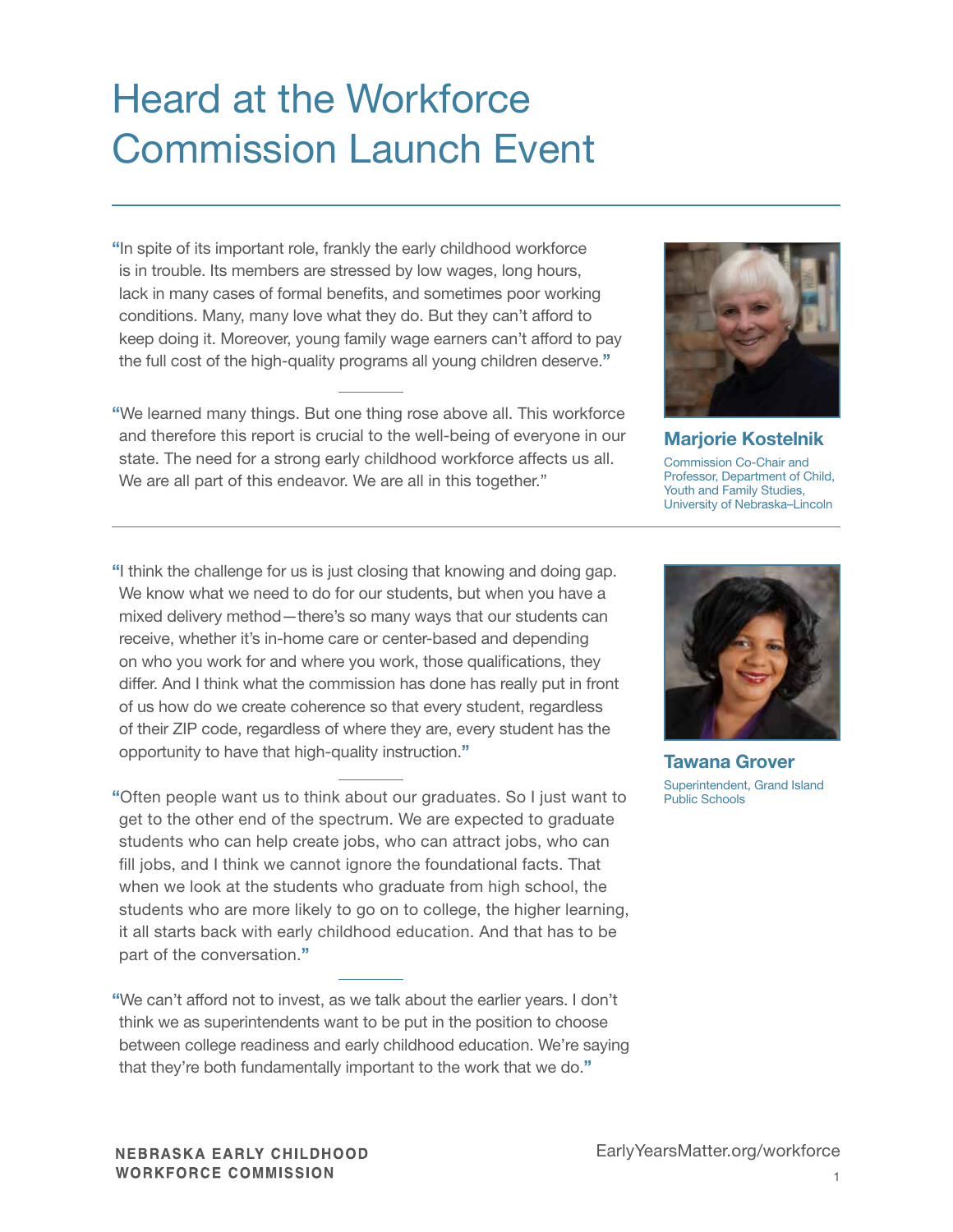## Heard at the Workforce Commission Launch Event

"In spite of its important role, frankly the early childhood workforce is in trouble. Its members are stressed by low wages, long hours, lack in many cases of formal benefits, and sometimes poor working conditions. Many, many love what they do. But they can't afford to keep doing it. Moreover, young family wage earners can't afford to pay the full cost of the high-quality programs all young children deserve."

"We learned many things. But one thing rose above all. This workforce and therefore this report is crucial to the well-being of everyone in our state. The need for a strong early childhood workforce affects us all. We are all part of this endeavor. We are all in this together."



Marjorie Kostelnik Commission Co-Chair and Professor, Department of Child, Youth and Family Studies, University of Nebraska–Lincoln

"I think the challenge for us is just closing that knowing and doing gap. We know what we need to do for our students, but when you have a mixed delivery method—there's so many ways that our students can receive, whether it's in-home care or center-based and depending on who you work for and where you work, those qualifications, they differ. And I think what the commission has done has really put in front of us how do we create coherence so that every student, regardless of their ZIP code, regardless of where they are, every student has the opportunity to have that high-quality instruction."

"Often people want us to think about our graduates. So I just want to get to the other end of the spectrum. We are expected to graduate students who can help create jobs, who can attract jobs, who can fill jobs, and I think we cannot ignore the foundational facts. That when we look at the students who graduate from high school, the students who are more likely to go on to college, the higher learning, it all starts back with early childhood education. And that has to be part of the conversation."

"We can't afford not to invest, as we talk about the earlier years. I don't think we as superintendents want to be put in the position to choose between college readiness and early childhood education. We're saying that they're both fundamentally important to the work that we do."



Tawana Grover Superintendent, Grand Island Public Schools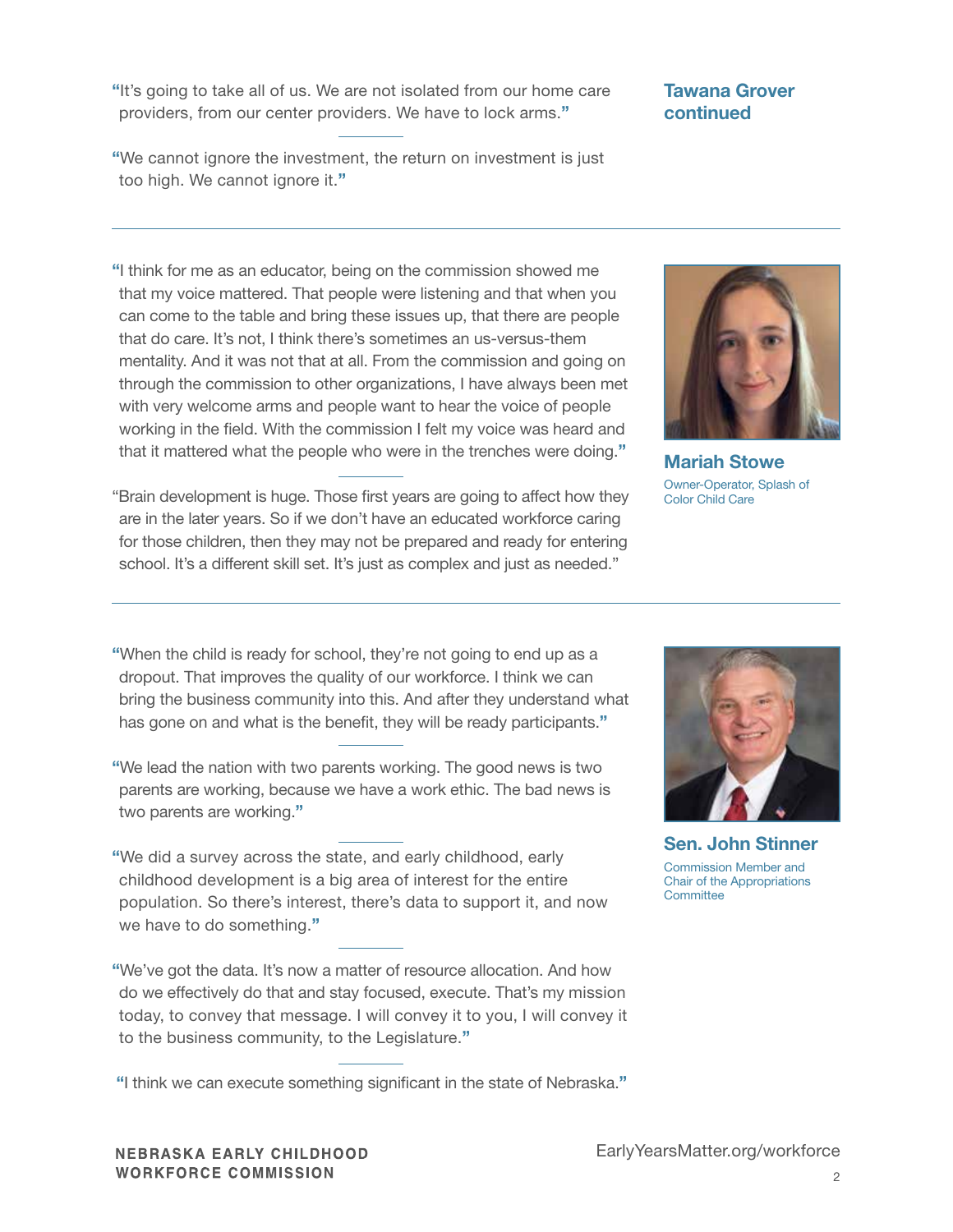"It's going to take all of us. We are not isolated from our home care providers, from our center providers. We have to lock arms."

"We cannot ignore the investment, the return on investment is just too high. We cannot ignore it."

## "I think for me as an educator, being on the commission showed me that my voice mattered. That people were listening and that when you can come to the table and bring these issues up, that there are people that do care. It's not, I think there's sometimes an us-versus-them mentality. And it was not that at all. From the commission and going on through the commission to other organizations, I have always been met with very welcome arms and people want to hear the voice of people working in the field. With the commission I felt my voice was heard and that it mattered what the people who were in the trenches were doing."

"Brain development is huge. Those first years are going to affect how they are in the later years. So if we don't have an educated workforce caring for those children, then they may not be prepared and ready for entering school. It's a different skill set. It's just as complex and just as needed."

## Tawana Grover continued



Mariah Stowe Owner-Operator, Splash of Color Child Care

"When the child is ready for school, they're not going to end up as a dropout. That improves the quality of our workforce. I think we can bring the business community into this. And after they understand what has gone on and what is the benefit, they will be ready participants."

"We lead the nation with two parents working. The good news is two parents are working, because we have a work ethic. The bad news is two parents are working."

"We did a survey across the state, and early childhood, early childhood development is a big area of interest for the entire population. So there's interest, there's data to support it, and now we have to do something."

"We've got the data. It's now a matter of resource allocation. And how do we effectively do that and stay focused, execute. That's my mission today, to convey that message. I will convey it to you, I will convey it to the business community, to the Legislature."

"I think we can execute something significant in the state of Nebraska."



Sen. John Stinner Commission Member and Chair of the Appropriations **Committee**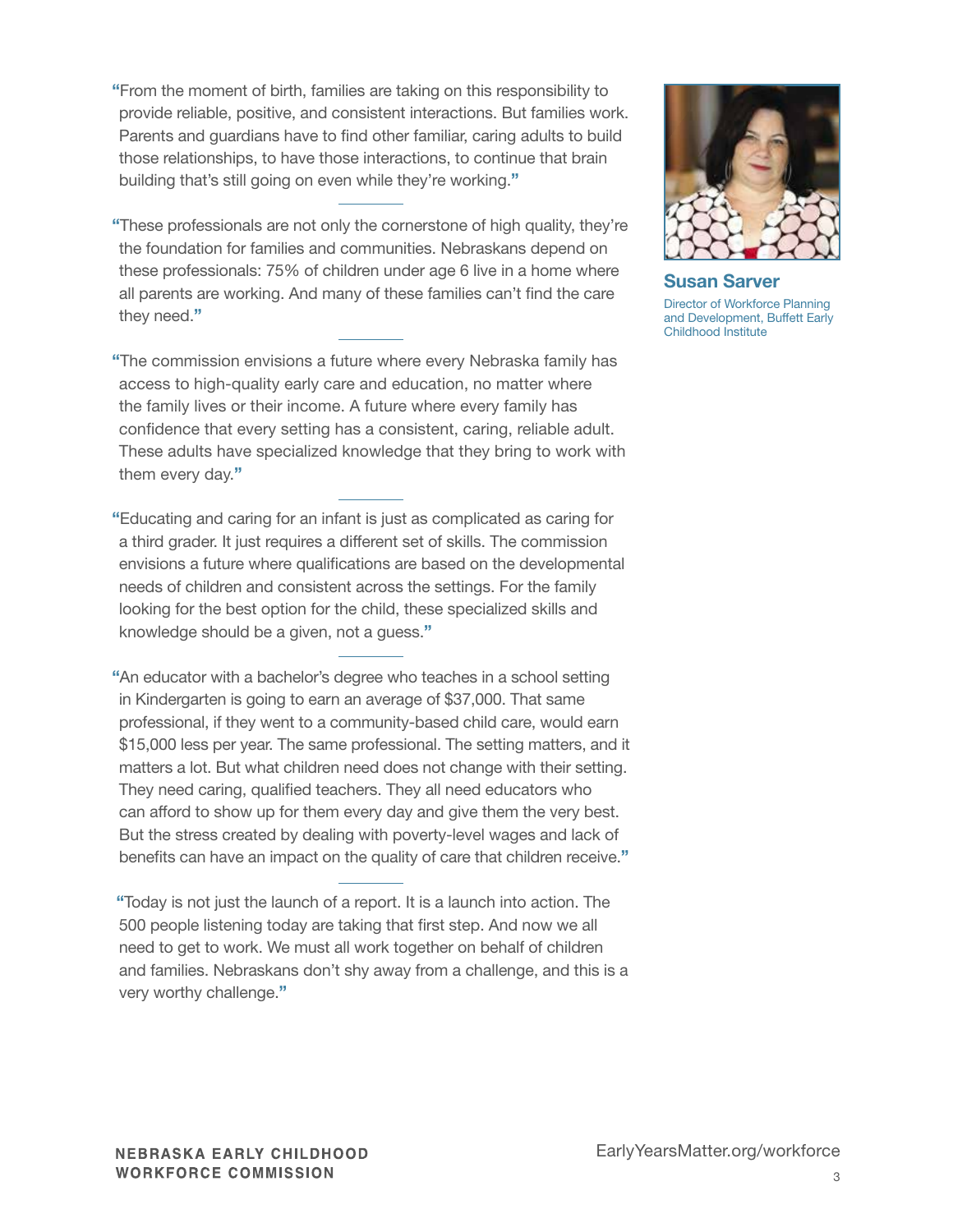- "From the moment of birth, families are taking on this responsibility to provide reliable, positive, and consistent interactions. But families work. Parents and guardians have to find other familiar, caring adults to build those relationships, to have those interactions, to continue that brain building that's still going on even while they're working."
- "These professionals are not only the cornerstone of high quality, they're the foundation for families and communities. Nebraskans depend on these professionals: 75% of children under age 6 live in a home where all parents are working. And many of these families can't find the care they need."
- "The commission envisions a future where every Nebraska family has access to high-quality early care and education, no matter where the family lives or their income. A future where every family has confidence that every setting has a consistent, caring, reliable adult. These adults have specialized knowledge that they bring to work with them every day."
- "Educating and caring for an infant is just as complicated as caring for a third grader. It just requires a different set of skills. The commission envisions a future where qualifications are based on the developmental needs of children and consistent across the settings. For the family looking for the best option for the child, these specialized skills and knowledge should be a given, not a guess."
- "An educator with a bachelor's degree who teaches in a school setting in Kindergarten is going to earn an average of \$37,000. That same professional, if they went to a community-based child care, would earn \$15,000 less per year. The same professional. The setting matters, and it matters a lot. But what children need does not change with their setting. They need caring, qualified teachers. They all need educators who can afford to show up for them every day and give them the very best. But the stress created by dealing with poverty-level wages and lack of benefits can have an impact on the quality of care that children receive."
- "Today is not just the launch of a report. It is a launch into action. The 500 people listening today are taking that first step. And now we all need to get to work. We must all work together on behalf of children and families. Nebraskans don't shy away from a challenge, and this is a very worthy challenge."



Susan Sarver Director of Workforce Planning and Development, Buffett Early Childhood Institute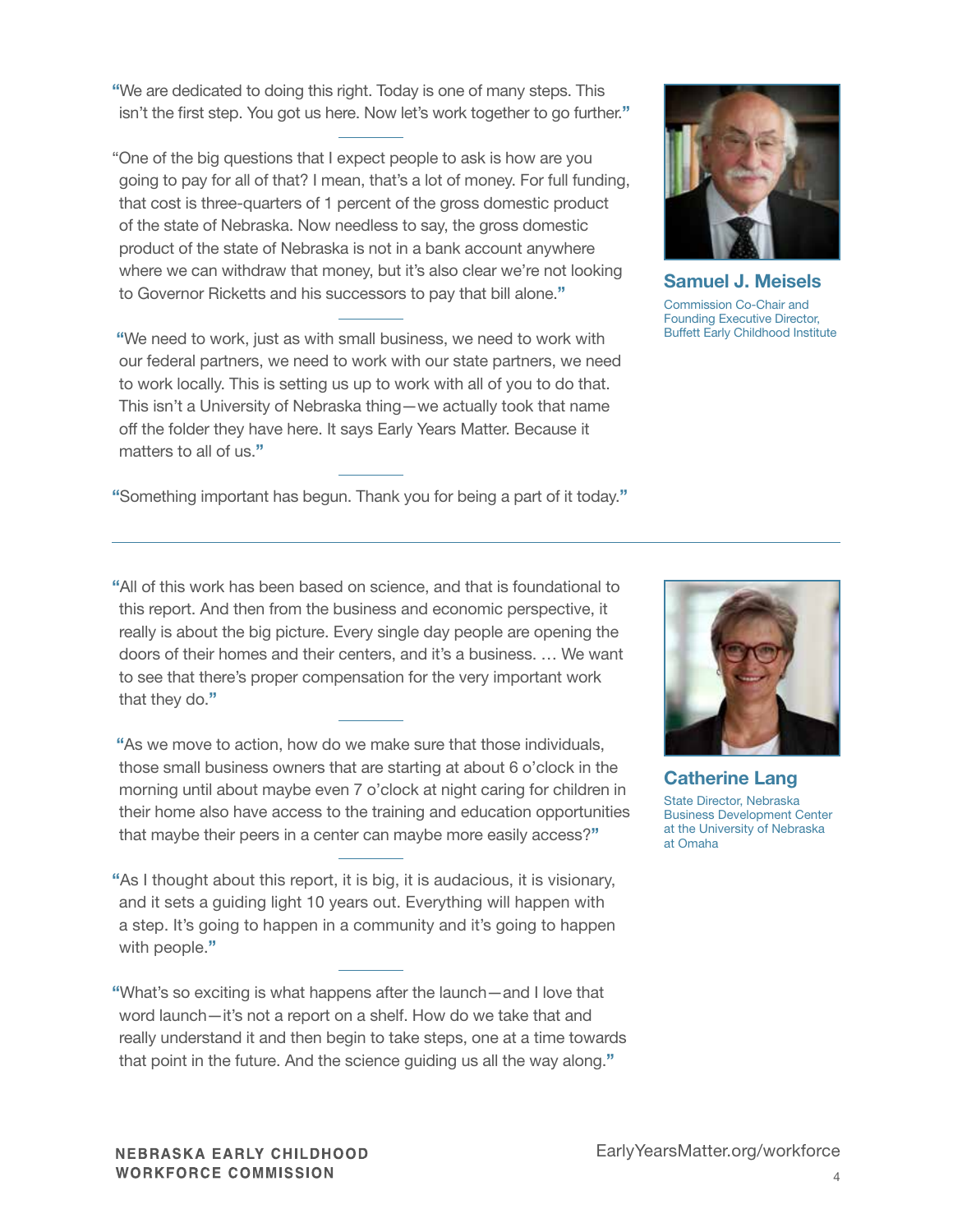"We are dedicated to doing this right. Today is one of many steps. This isn't the first step. You got us here. Now let's work together to go further."

"One of the big questions that I expect people to ask is how are you going to pay for all of that? I mean, that's a lot of money. For full funding, that cost is three-quarters of 1 percent of the gross domestic product of the state of Nebraska. Now needless to say, the gross domestic product of the state of Nebraska is not in a bank account anywhere where we can withdraw that money, but it's also clear we're not looking to Governor Ricketts and his successors to pay that bill alone."

"We need to work, just as with small business, we need to work with our federal partners, we need to work with our state partners, we need to work locally. This is setting us up to work with all of you to do that. This isn't a University of Nebraska thing—we actually took that name off the folder they have here. It says Early Years Matter. Because it matters to all of us."

"Something important has begun. Thank you for being a part of it today."



Samuel J. Meisels Commission Co-Chair and Founding Executive Director, Buffett Early Childhood Institute

"All of this work has been based on science, and that is foundational to this report. And then from the business and economic perspective, it really is about the big picture. Every single day people are opening the doors of their homes and their centers, and it's a business. … We want to see that there's proper compensation for the very important work that they do."

"As we move to action, how do we make sure that those individuals, those small business owners that are starting at about 6 o'clock in the morning until about maybe even 7 o'clock at night caring for children in their home also have access to the training and education opportunities that maybe their peers in a center can maybe more easily access?"

"As I thought about this report, it is big, it is audacious, it is visionary, and it sets a guiding light 10 years out. Everything will happen with a step. It's going to happen in a community and it's going to happen with people."

"What's so exciting is what happens after the launch—and I love that word launch—it's not a report on a shelf. How do we take that and really understand it and then begin to take steps, one at a time towards that point in the future. And the science guiding us all the way along."



Catherine Lang State Director, Nebraska Business Development Center at the University of Nebraska at Omaha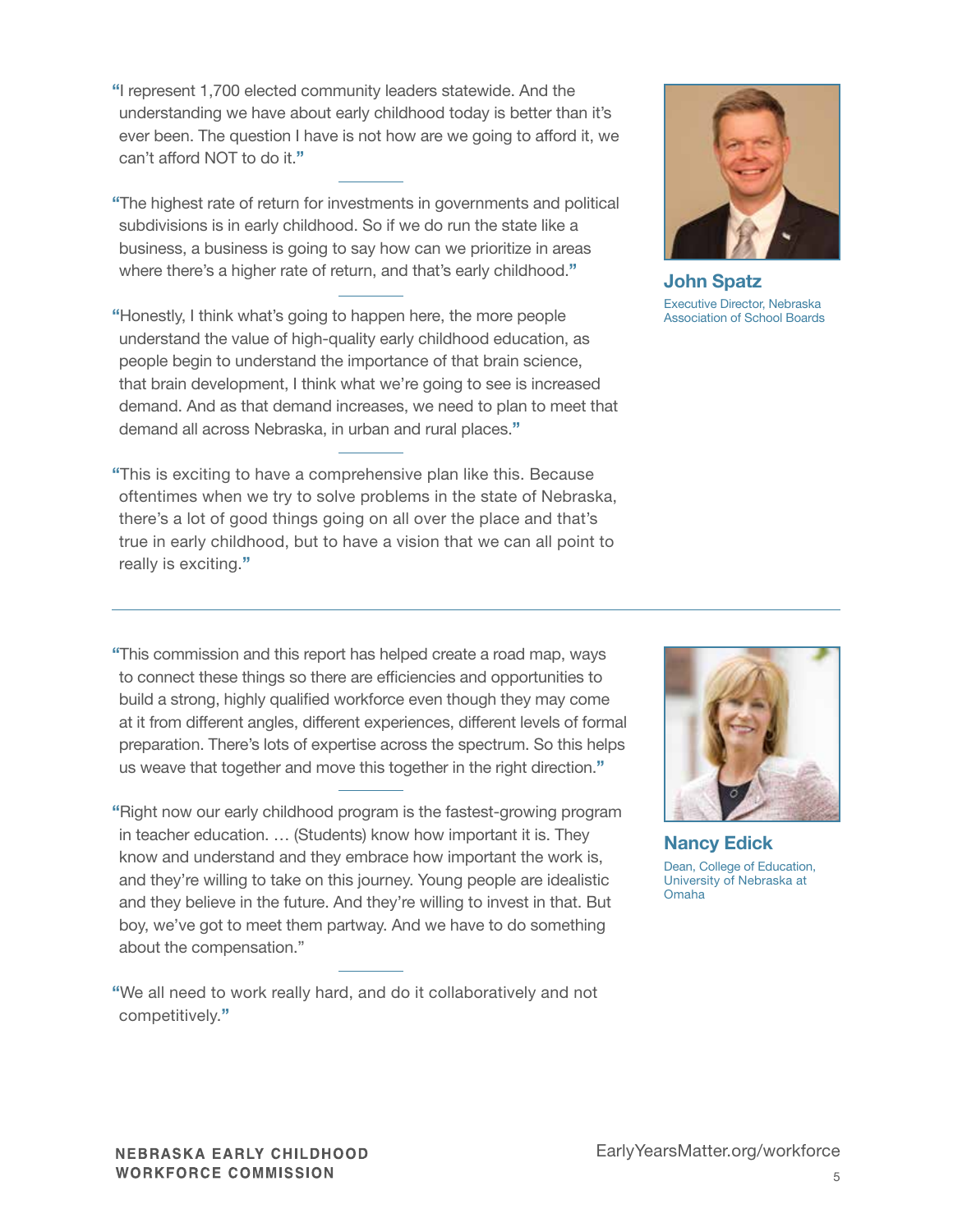"I represent 1,700 elected community leaders statewide. And the understanding we have about early childhood today is better than it's ever been. The question I have is not how are we going to afford it, we can't afford NOT to do it."

"The highest rate of return for investments in governments and political subdivisions is in early childhood. So if we do run the state like a business, a business is going to say how can we prioritize in areas where there's a higher rate of return, and that's early childhood."

"Honestly, I think what's going to happen here, the more people understand the value of high-quality early childhood education, as people begin to understand the importance of that brain science, that brain development, I think what we're going to see is increased demand. And as that demand increases, we need to plan to meet that demand all across Nebraska, in urban and rural places."

"This is exciting to have a comprehensive plan like this. Because oftentimes when we try to solve problems in the state of Nebraska, there's a lot of good things going on all over the place and that's true in early childhood, but to have a vision that we can all point to really is exciting."

John Spatz Executive Director, Nebraska Association of School Boards

"This commission and this report has helped create a road map, ways to connect these things so there are efficiencies and opportunities to build a strong, highly qualified workforce even though they may come at it from different angles, different experiences, different levels of formal preparation. There's lots of expertise across the spectrum. So this helps us weave that together and move this together in the right direction."

"Right now our early childhood program is the fastest-growing program in teacher education. … (Students) know how important it is. They know and understand and they embrace how important the work is, and they're willing to take on this journey. Young people are idealistic and they believe in the future. And they're willing to invest in that. But boy, we've got to meet them partway. And we have to do something about the compensation."

"We all need to work really hard, and do it collaboratively and not competitively."



Nancy Edick Dean, College of Education, University of Nebraska at Omaha